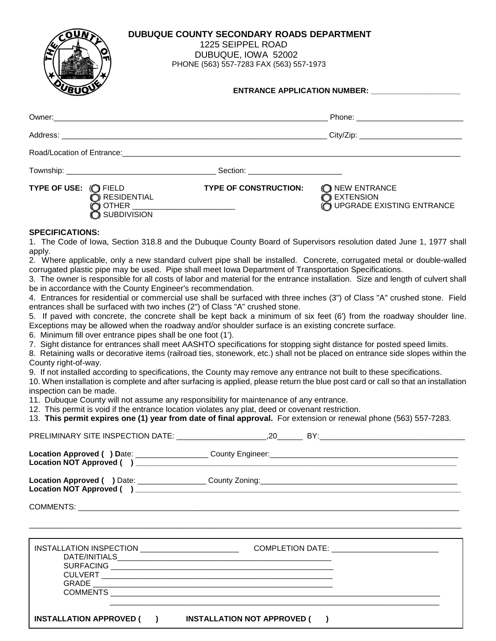| <b>DUBUQUE COUNTY SECONDARY ROADS DEPARTMENT</b><br>1225 SEIPPEL ROAD<br>DUBUQUE, IOWA 52002<br>PHONE (563) 557-7283 FAX (563) 557-1973 |  |
|-----------------------------------------------------------------------------------------------------------------------------------------|--|
| ENTRANCE APPLICATION NUMBER: ________________________                                                                                   |  |
|                                                                                                                                         |  |
| City/Zip: ________________________________                                                                                              |  |
|                                                                                                                                         |  |

Township: Township:

**TYPE OF USE:** (O FIELD **TYPE OF CONSTRUCTION:** (O NEW ENTRANCE **CONSTRUCTION:** CONSTRUCTION: CONSTENSION  $\bigcirc$  RESIDENTIAL ) OTHER  $\tilde{O}$  upgrade existing entrance

 $\blacklozenge$  SUBDIVISION

#### **SPECIFICATIONS:**

1. The Code of Iowa, Section 318.8 and the Dubuque County Board of Supervisors resolution dated June 1, 1977 shall apply.

2. Where applicable, only a new standard culvert pipe shall be installed. Concrete, corrugated metal or double-walled corrugated plastic pipe may be used. Pipe shall meet Iowa Department of Transportation Specifications.

3. The owner is responsible for all costs of labor and material for the entrance installation. Size and length of culvert shall be in accordance with the County Engineer's recommendation.

4. Entrances for residential or commercial use shall be surfaced with three inches (3") of Class "A" crushed stone. Field entrances shall be surfaced with two inches (2") of Class "A" crushed stone.

5. If paved with concrete, the concrete shall be kept back a minimum of six feet (6') from the roadway shoulder line. Exceptions may be allowed when the roadway and/or shoulder surface is an existing concrete surface.

6. Minimum fill over entrance pipes shall be one foot (1').

7. Sight distance for entrances shall meet AASHTO specifications for stopping sight distance for posted speed limits.

8. Retaining walls or decorative items (railroad ties, stonework, etc.) shall not be placed on entrance side slopes within the County right-of-way.

9. If not installed according to specifications, the County may remove any entrance not built to these specifications.

10. When installation is complete and after surfacing is applied, please return the blue post card or call so that an installation inspection can be made.

11. Dubuque County will not assume any responsibility for maintenance of any entrance.

12. This permit is void if the entrance location violates any plat, deed or covenant restriction.

13. **This permit expires one (1) year from date of final approval.** For extension or renewal phone (563) 557-7283.

|                                                         | ,我们也不会有什么。""我们的人,我们也不会有什么?""我们的人,我们也不会有什么?""我们的人,我们也不会有什么?""我们的人,我们也不会有什么?""我们的人 |  |
|---------------------------------------------------------|----------------------------------------------------------------------------------|--|
|                                                         |                                                                                  |  |
|                                                         |                                                                                  |  |
| INSTALLATION APPROVED ( ) INSTALLATION NOT APPROVED ( ) |                                                                                  |  |